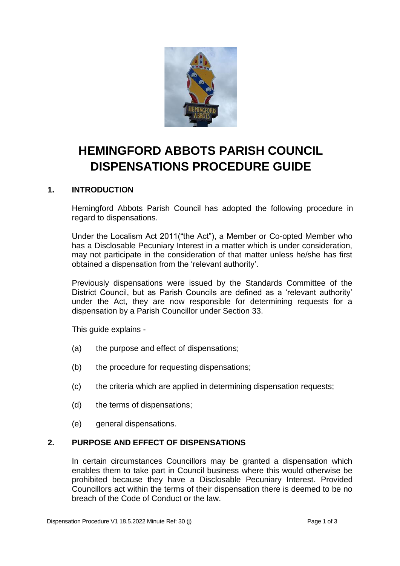

# **HEMINGFORD ABBOTS PARISH COUNCIL DISPENSATIONS PROCEDURE GUIDE**

## **1. INTRODUCTION**

Hemingford Abbots Parish Council has adopted the following procedure in regard to dispensations.

Under the Localism Act 2011("the Act"), a Member or Co-opted Member who has a Disclosable Pecuniary Interest in a matter which is under consideration, may not participate in the consideration of that matter unless he/she has first obtained a dispensation from the 'relevant authority'.

Previously dispensations were issued by the Standards Committee of the District Council, but as Parish Councils are defined as a 'relevant authority' under the Act, they are now responsible for determining requests for a dispensation by a Parish Councillor under Section 33.

This guide explains -

- (a) the purpose and effect of dispensations;
- (b) the procedure for requesting dispensations;
- (c) the criteria which are applied in determining dispensation requests;
- (d) the terms of dispensations;
- (e) general dispensations.

#### **2. PURPOSE AND EFFECT OF DISPENSATIONS**

In certain circumstances Councillors may be granted a dispensation which enables them to take part in Council business where this would otherwise be prohibited because they have a Disclosable Pecuniary Interest. Provided Councillors act within the terms of their dispensation there is deemed to be no breach of the Code of Conduct or the law.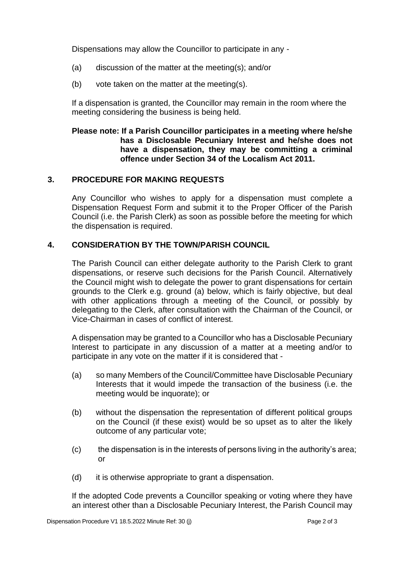Dispensations may allow the Councillor to participate in any -

- (a) discussion of the matter at the meeting(s); and/or
- (b) vote taken on the matter at the meeting(s).

If a dispensation is granted, the Councillor may remain in the room where the meeting considering the business is being held.

#### **Please note: If a Parish Councillor participates in a meeting where he/she has a Disclosable Pecuniary Interest and he/she does not have a dispensation, they may be committing a criminal offence under Section 34 of the Localism Act 2011.**

## **3. PROCEDURE FOR MAKING REQUESTS**

Any Councillor who wishes to apply for a dispensation must complete a Dispensation Request Form and submit it to the Proper Officer of the Parish Council (i.e. the Parish Clerk) as soon as possible before the meeting for which the dispensation is required.

## **4. CONSIDERATION BY THE TOWN/PARISH COUNCIL**

The Parish Council can either delegate authority to the Parish Clerk to grant dispensations, or reserve such decisions for the Parish Council. Alternatively the Council might wish to delegate the power to grant dispensations for certain grounds to the Clerk e.g. ground (a) below, which is fairly objective, but deal with other applications through a meeting of the Council, or possibly by delegating to the Clerk, after consultation with the Chairman of the Council, or Vice-Chairman in cases of conflict of interest.

A dispensation may be granted to a Councillor who has a Disclosable Pecuniary Interest to participate in any discussion of a matter at a meeting and/or to participate in any vote on the matter if it is considered that -

- (a) so many Members of the Council/Committee have Disclosable Pecuniary Interests that it would impede the transaction of the business (i.e. the meeting would be inquorate); or
- (b) without the dispensation the representation of different political groups on the Council (if these exist) would be so upset as to alter the likely outcome of any particular vote;
- (c) the dispensation is in the interests of persons living in the authority's area; or
- (d) it is otherwise appropriate to grant a dispensation.

If the adopted Code prevents a Councillor speaking or voting where they have an interest other than a Disclosable Pecuniary Interest, the Parish Council may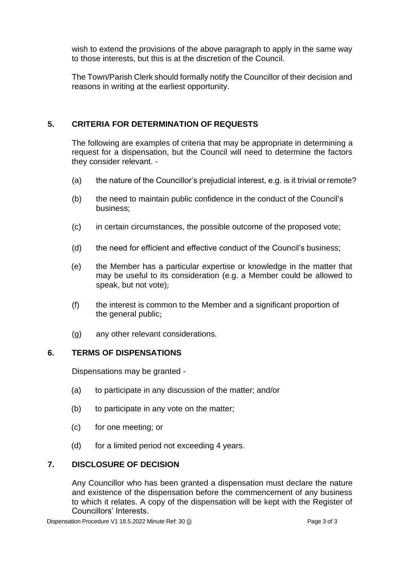wish to extend the provisions of the above paragraph to apply in the same way to those interests, but this is at the discretion of the Council.

The Town/Parish Clerk should formally notify the Councillor of their decision and reasons in writing at the earliest opportunity.

#### **5. CRITERIA FOR DETERMINATION OF REQUESTS**

The following are examples of criteria that may be appropriate in determining a request for a dispensation, but the Council will need to determine the factors they consider relevant. -

- (a) the nature of the Councillor's prejudicial interest, e.g. is it trivial or remote?
- (b) the need to maintain public confidence in the conduct of the Council's business;
- (c) in certain circumstances, the possible outcome of the proposed vote;
- (d) the need for efficient and effective conduct of the Council's business;
- (e) the Member has a particular expertise or knowledge in the matter that may be useful to its consideration (e.g. a Member could be allowed to speak, but not vote);
- (f) the interest is common to the Member and a significant proportion of the general public;
- (g) any other relevant considerations.

#### **6. TERMS OF DISPENSATIONS**

Dispensations may be granted -

- (a) to participate in any discussion of the matter; and/or
- (b) to participate in any vote on the matter;
- (c) for one meeting; or
- (d) for a limited period not exceeding 4 years.

## **7. DISCLOSURE OF DECISION**

Any Councillor who has been granted a dispensation must declare the nature and existence of the dispensation before the commencement of any business to which it relates. A copy of the dispensation will be kept with the Register of Councillors' Interests.